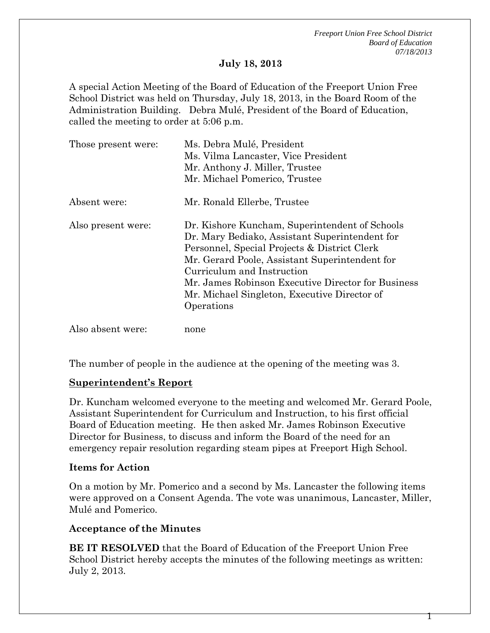*Freeport Union Free School District Board of Education 07/18/2013* 

#### **July 18, 2013**

A special Action Meeting of the Board of Education of the Freeport Union Free School District was held on Thursday, July 18, 2013, in the Board Room of the Administration Building. Debra Mulé, President of the Board of Education, called the meeting to order at 5:06 p.m.

| Those present were: | Ms. Debra Mulé, President<br>Ms. Vilma Lancaster, Vice President<br>Mr. Anthony J. Miller, Trustee<br>Mr. Michael Pomerico, Trustee                                                                                                                                                                                                                  |  |
|---------------------|------------------------------------------------------------------------------------------------------------------------------------------------------------------------------------------------------------------------------------------------------------------------------------------------------------------------------------------------------|--|
| Absent were:        | Mr. Ronald Ellerbe, Trustee                                                                                                                                                                                                                                                                                                                          |  |
| Also present were:  | Dr. Kishore Kuncham, Superintendent of Schools<br>Dr. Mary Bediako, Assistant Superintendent for<br>Personnel, Special Projects & District Clerk<br>Mr. Gerard Poole, Assistant Superintendent for<br>Curriculum and Instruction<br>Mr. James Robinson Executive Director for Business<br>Mr. Michael Singleton, Executive Director of<br>Operations |  |
| Also absent were:   | none                                                                                                                                                                                                                                                                                                                                                 |  |

The number of people in the audience at the opening of the meeting was 3.

### **Superintendent's Report**

Dr. Kuncham welcomed everyone to the meeting and welcomed Mr. Gerard Poole, Assistant Superintendent for Curriculum and Instruction, to his first official Board of Education meeting. He then asked Mr. James Robinson Executive Director for Business, to discuss and inform the Board of the need for an emergency repair resolution regarding steam pipes at Freeport High School.

### **Items for Action**

On a motion by Mr. Pomerico and a second by Ms. Lancaster the following items were approved on a Consent Agenda. The vote was unanimous, Lancaster, Miller, Mulé and Pomerico.

### **Acceptance of the Minutes**

**BE IT RESOLVED** that the Board of Education of the Freeport Union Free School District hereby accepts the minutes of the following meetings as written: July 2, 2013.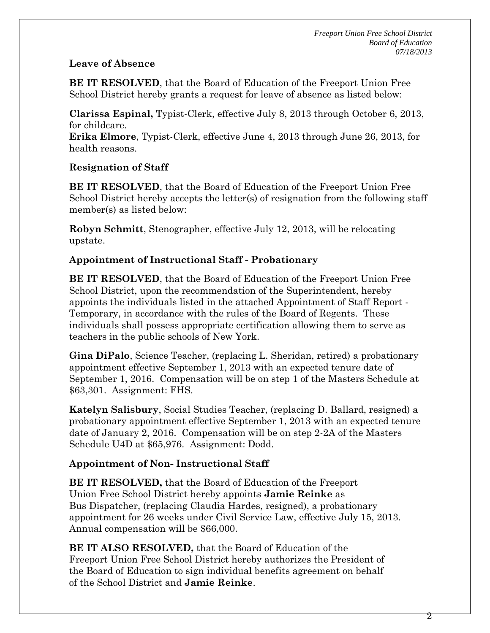## **Leave of Absence**

**BE IT RESOLVED**, that the Board of Education of the Freeport Union Free School District hereby grants a request for leave of absence as listed below:

**Clarissa Espinal,** Typist-Clerk, effective July 8, 2013 through October 6, 2013, for childcare.

**Erika Elmore**, Typist-Clerk, effective June 4, 2013 through June 26, 2013, for health reasons.

# **Resignation of Staff**

**BE IT RESOLVED**, that the Board of Education of the Freeport Union Free School District hereby accepts the letter(s) of resignation from the following staff member(s) as listed below:

**Robyn Schmitt**, Stenographer, effective July 12, 2013, will be relocating upstate.

# **Appointment of Instructional Staff - Probationary**

**BE IT RESOLVED**, that the Board of Education of the Freeport Union Free School District, upon the recommendation of the Superintendent, hereby appoints the individuals listed in the attached Appointment of Staff Report - Temporary, in accordance with the rules of the Board of Regents. These individuals shall possess appropriate certification allowing them to serve as teachers in the public schools of New York.

**Gina DiPalo**, Science Teacher, (replacing L. Sheridan, retired) a probationary appointment effective September 1, 2013 with an expected tenure date of September 1, 2016. Compensation will be on step 1 of the Masters Schedule at \$63,301. Assignment: FHS.

**Katelyn Salisbury**, Social Studies Teacher, (replacing D. Ballard, resigned) a probationary appointment effective September 1, 2013 with an expected tenure date of January 2, 2016. Compensation will be on step 2-2A of the Masters Schedule U4D at \$65,976. Assignment: Dodd.

# **Appointment of Non- Instructional Staff**

**BE IT RESOLVED,** that the Board of Education of the Freeport Union Free School District hereby appoints **Jamie Reinke** as Bus Dispatcher, (replacing Claudia Hardes, resigned), a probationary appointment for 26 weeks under Civil Service Law, effective July 15, 2013. Annual compensation will be \$66,000.

**BE IT ALSO RESOLVED,** that the Board of Education of the Freeport Union Free School District hereby authorizes the President of the Board of Education to sign individual benefits agreement on behalf of the School District and **Jamie Reinke**.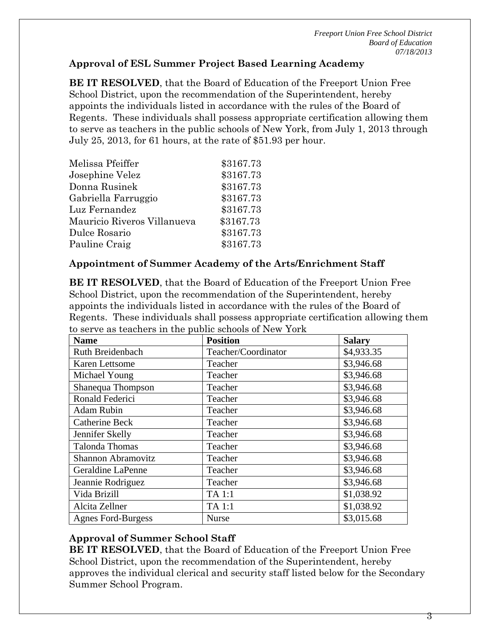*Freeport Union Free School District Board of Education 07/18/2013* 

## **Approval of ESL Summer Project Based Learning Academy**

**BE IT RESOLVED**, that the Board of Education of the Freeport Union Free School District, upon the recommendation of the Superintendent, hereby appoints the individuals listed in accordance with the rules of the Board of Regents. These individuals shall possess appropriate certification allowing them to serve as teachers in the public schools of New York, from July 1, 2013 through July 25, 2013, for 61 hours, at the rate of \$51.93 per hour.

| Melissa Pfeiffer            | \$3167.73 |
|-----------------------------|-----------|
| Josephine Velez             | \$3167.73 |
| Donna Rusinek               | \$3167.73 |
| Gabriella Farruggio         | \$3167.73 |
| Luz Fernandez               | \$3167.73 |
| Mauricio Riveros Villanueva | \$3167.73 |
| Dulce Rosario               | \$3167.73 |
| Pauline Craig               | \$3167.73 |

## **Appointment of Summer Academy of the Arts/Enrichment Staff**

**BE IT RESOLVED**, that the Board of Education of the Freeport Union Free School District, upon the recommendation of the Superintendent, hereby appoints the individuals listed in accordance with the rules of the Board of Regents. These individuals shall possess appropriate certification allowing them to serve as teachers in the public schools of New York

| <b>Name</b>               | <b>Position</b>     | <b>Salary</b> |
|---------------------------|---------------------|---------------|
| Ruth Breidenbach          | Teacher/Coordinator | \$4,933.35    |
| <b>Karen Lettsome</b>     | Teacher             | \$3,946.68    |
| Michael Young             | Teacher             | \$3,946.68    |
| Shanequa Thompson         | Teacher             | \$3,946.68    |
| Ronald Federici           | Teacher             | \$3,946.68    |
| <b>Adam Rubin</b>         | Teacher             | \$3,946.68    |
| Catherine Beck            | Teacher             | \$3,946.68    |
| Jennifer Skelly           | Teacher             | \$3,946.68    |
| <b>Talonda Thomas</b>     | Teacher             | \$3,946.68    |
| <b>Shannon Abramovitz</b> | Teacher             | \$3,946.68    |
| <b>Geraldine LaPenne</b>  | Teacher             | \$3,946.68    |
| Jeannie Rodriguez         | Teacher             | \$3,946.68    |
| Vida Brizill              | TA 1:1              | \$1,038.92    |
| Alcita Zellner            | TA 1:1              | \$1,038.92    |
| <b>Agnes Ford-Burgess</b> | <b>Nurse</b>        | \$3,015.68    |

## **Approval of Summer School Staff**

**BE IT RESOLVED**, that the Board of Education of the Freeport Union Free School District, upon the recommendation of the Superintendent, hereby approves the individual clerical and security staff listed below for the Secondary Summer School Program.

3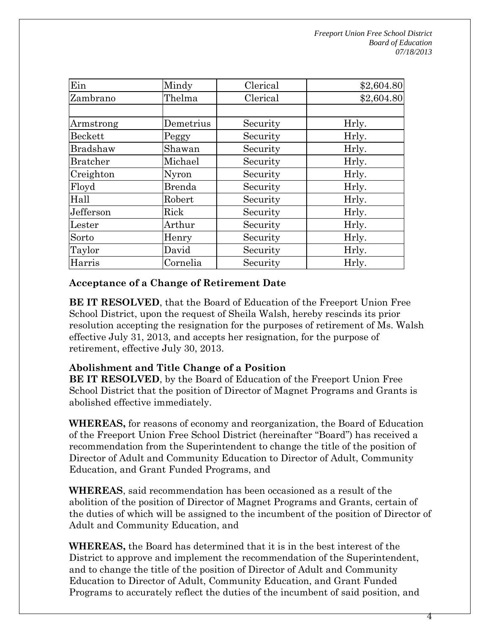| Ein       | Mindy         | Clerical | \$2,604.80 |
|-----------|---------------|----------|------------|
| Zambrano  | Thelma        | Clerical | \$2,604.80 |
|           |               |          |            |
| Armstrong | Demetrius     | Security | Hrly.      |
| Beckett   | Peggy         | Security | Hrly.      |
| Bradshaw  | Shawan        | Security | Hrly.      |
| Bratcher  | Michael       | Security | Hrly.      |
| Creighton | Nyron         | Security | Hrly.      |
| Floyd     | <b>Brenda</b> | Security | Hrly.      |
| Hall      | Robert        | Security | Hrly.      |
| Jefferson | Rick          | Security | Hrly.      |
| Lester    | Arthur        | Security | Hrly.      |
| Sorto     | Henry         | Security | Hrly.      |
| Taylor    | David         | Security | Hrly.      |
| Harris    | Cornelia      | Security | Hrly.      |

## **Acceptance of a Change of Retirement Date**

**BE IT RESOLVED**, that the Board of Education of the Freeport Union Free School District, upon the request of Sheila Walsh, hereby rescinds its prior resolution accepting the resignation for the purposes of retirement of Ms. Walsh effective July 31, 2013, and accepts her resignation, for the purpose of retirement, effective July 30, 2013.

### **Abolishment and Title Change of a Position**

**BE IT RESOLVED**, by the Board of Education of the Freeport Union Free School District that the position of Director of Magnet Programs and Grants is abolished effective immediately.

**WHEREAS,** for reasons of economy and reorganization, the Board of Education of the Freeport Union Free School District (hereinafter "Board") has received a recommendation from the Superintendent to change the title of the position of Director of Adult and Community Education to Director of Adult, Community Education, and Grant Funded Programs, and

**WHEREAS**, said recommendation has been occasioned as a result of the abolition of the position of Director of Magnet Programs and Grants, certain of the duties of which will be assigned to the incumbent of the position of Director of Adult and Community Education, and

**WHEREAS,** the Board has determined that it is in the best interest of the District to approve and implement the recommendation of the Superintendent, and to change the title of the position of Director of Adult and Community Education to Director of Adult, Community Education, and Grant Funded Programs to accurately reflect the duties of the incumbent of said position, and

4